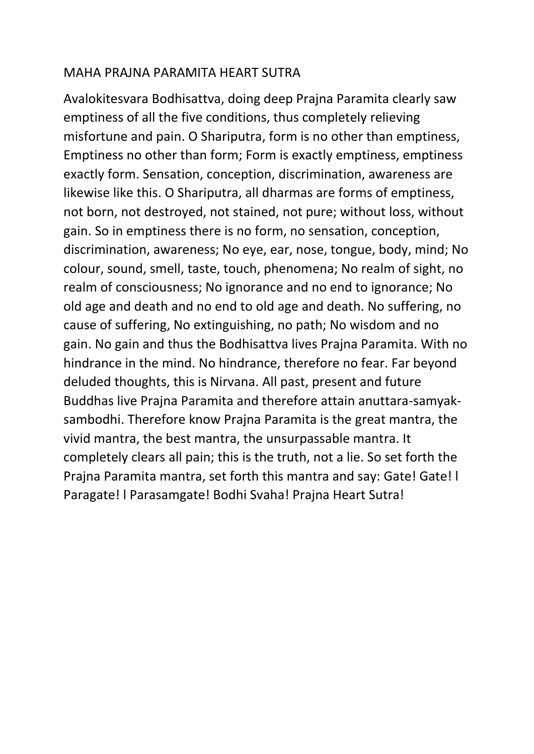## MAHA PRAJNA PARAMITA HEART SUTRA

Avalokitesvara Bodhisattva, doing deep Prajna Paramita clearly saw emptiness of all the five conditions, thus completely relieving misfortune and pain. O Shariputra, form is no other than emptiness, Emptiness no other than form; Form is exactly emptiness, emptiness exactly form. Sensation, conception, discrimination, awareness are likewise like this. O Shariputra, all dharmas are forms of emptiness, not born, not destroyed, not stained, not pure; without loss, without gain. So in emptiness there is no form, no sensation, conception, discrimination, awareness; No eye, ear, nose, tongue, body, mind; No colour, sound, smell, taste, touch, phenomena; No realm of sight, no realm of consciousness; No ignorance and no end to ignorance; No old age and death and no end to old age and death. No suffering, no cause of suffering, No extinguishing, no path; No wisdom and no gain. No gain and thus the Bodhisattva lives Prajna Paramita. With no hindrance in the mind. No hindrance, therefore no fear. Far beyond deluded thoughts, this is Nirvana. All past, present and future Buddhas live Prajna Paramita and therefore attain anuttara-samyaksambodhi. Therefore know Prajna Paramita is the great mantra, the vivid mantra, the best mantra, the unsurpassable mantra. It completely clears all pain; this is the truth, not a lie. So set forth the Prajna Paramita mantra, set forth this mantra and say: Gate! Gate! l Paragate! l Parasamgate! Bodhi Svaha! Prajna Heart Sutra!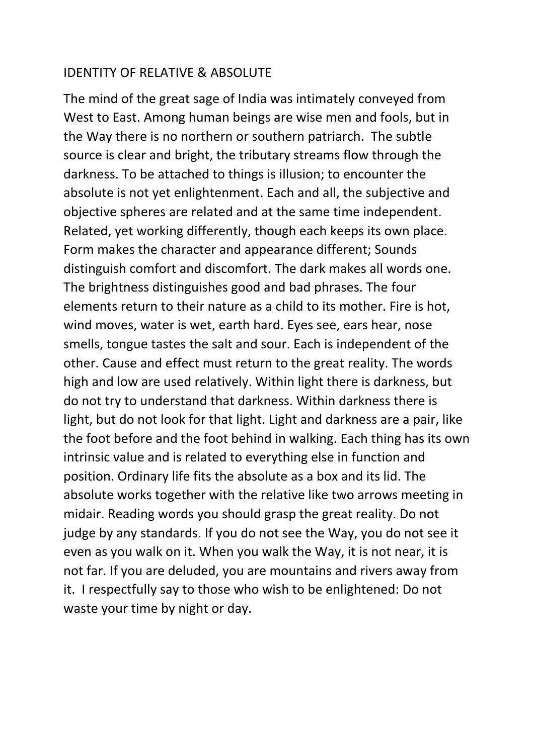## IDENTITY OF RELATIVE & ABSOLUTE

The mind of the great sage of India was intimately conveyed from West to East. Among human beings are wise men and fools, but in the Way there is no northern or southern patriarch. The subtle source is clear and bright, the tributary streams flow through the darkness. To be attached to things is illusion; to encounter the absolute is not yet enlightenment. Each and all, the subjective and objective spheres are related and at the same time independent. Related, yet working differently, though each keeps its own place. Form makes the character and appearance different; Sounds distinguish comfort and discomfort. The dark makes all words one. The brightness distinguishes good and bad phrases. The four elements return to their nature as a child to its mother. Fire is hot, wind moves, water is wet, earth hard. Eyes see, ears hear, nose smells, tongue tastes the salt and sour. Each is independent of the other. Cause and effect must return to the great reality. The words high and low are used relatively. Within light there is darkness, but do not try to understand that darkness. Within darkness there is light, but do not look for that light. Light and darkness are a pair, like the foot before and the foot behind in walking. Each thing has its own intrinsic value and is related to everything else in function and position. Ordinary life fits the absolute as a box and its lid. The absolute works together with the relative like two arrows meeting in midair. Reading words you should grasp the great reality. Do not judge by any standards. If you do not see the Way, you do not see it even as you walk on it. When you walk the Way, it is not near, it is not far. If you are deluded, you are mountains and rivers away from it. I respectfully say to those who wish to be enlightened: Do not waste your time by night or day.